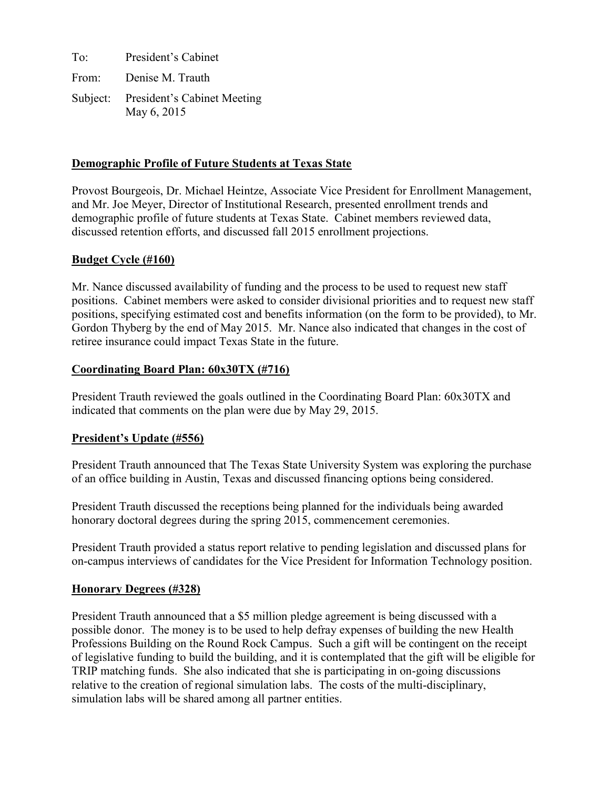To: President's Cabinet From: Denise M. Trauth

Subject: President's Cabinet Meeting May 6, 2015

# **Demographic Profile of Future Students at Texas State**

Provost Bourgeois, Dr. Michael Heintze, Associate Vice President for Enrollment Management, and Mr. Joe Meyer, Director of Institutional Research, presented enrollment trends and demographic profile of future students at Texas State. Cabinet members reviewed data, discussed retention efforts, and discussed fall 2015 enrollment projections.

# **Budget Cycle (#160)**

Mr. Nance discussed availability of funding and the process to be used to request new staff positions. Cabinet members were asked to consider divisional priorities and to request new staff positions, specifying estimated cost and benefits information (on the form to be provided), to Mr. Gordon Thyberg by the end of May 2015. Mr. Nance also indicated that changes in the cost of retiree insurance could impact Texas State in the future.

# **Coordinating Board Plan: 60x30TX (#716)**

President Trauth reviewed the goals outlined in the Coordinating Board Plan: 60x30TX and indicated that comments on the plan were due by May 29, 2015.

# **President's Update (#556)**

President Trauth announced that The Texas State University System was exploring the purchase of an office building in Austin, Texas and discussed financing options being considered.

President Trauth discussed the receptions being planned for the individuals being awarded honorary doctoral degrees during the spring 2015, commencement ceremonies.

President Trauth provided a status report relative to pending legislation and discussed plans for on-campus interviews of candidates for the Vice President for Information Technology position.

# **Honorary Degrees (#328)**

President Trauth announced that a \$5 million pledge agreement is being discussed with a possible donor. The money is to be used to help defray expenses of building the new Health Professions Building on the Round Rock Campus. Such a gift will be contingent on the receipt of legislative funding to build the building, and it is contemplated that the gift will be eligible for TRIP matching funds. She also indicated that she is participating in on-going discussions relative to the creation of regional simulation labs. The costs of the multi-disciplinary, simulation labs will be shared among all partner entities.